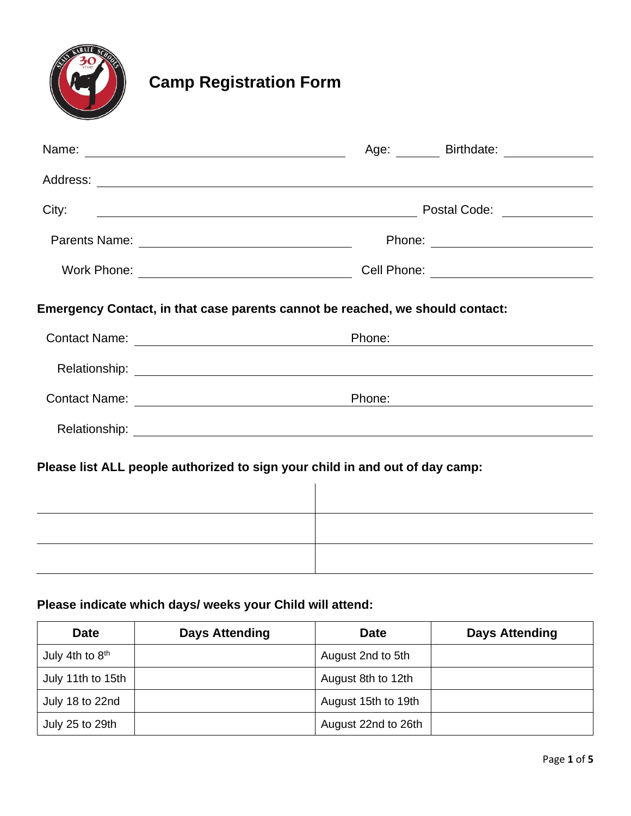

# **Camp Registration Form**

|                                                                               | Age: ________ Birthdate: ______________ |
|-------------------------------------------------------------------------------|-----------------------------------------|
|                                                                               |                                         |
| City:<br><u> 2000 - Andrea Andrew Maria (h. 18</u>                            | Postal Code: ______________             |
|                                                                               |                                         |
|                                                                               |                                         |
| Emergency Contact, in that case parents cannot be reached, we should contact: |                                         |
|                                                                               | Phone:                                  |
|                                                                               |                                         |
|                                                                               | Phone:                                  |
|                                                                               |                                         |
| Please list ALL people authorized to sign your child in and out of day camp:  |                                         |
|                                                                               |                                         |

# **Please indicate which days/ weeks your Child will attend:**

| <b>Date</b>       | <b>Days Attending</b> | <b>Date</b>         | <b>Days Attending</b> |
|-------------------|-----------------------|---------------------|-----------------------|
| July 4th to $8th$ |                       | August 2nd to 5th   |                       |
| July 11th to 15th |                       | August 8th to 12th  |                       |
| July 18 to 22nd   |                       | August 15th to 19th |                       |
| July 25 to 29th   |                       | August 22nd to 26th |                       |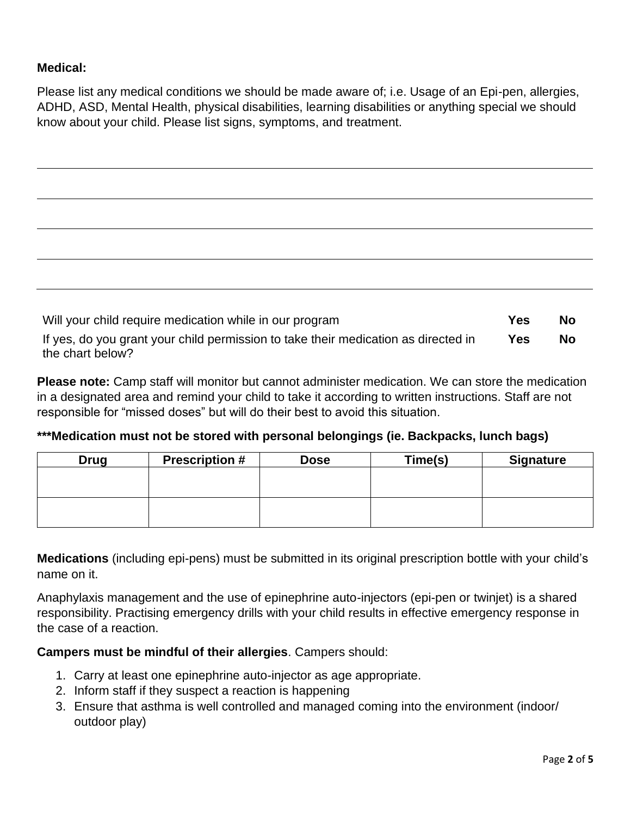## **Medical:**

Please list any medical conditions we should be made aware of; i.e. Usage of an Epi-pen, allergies, ADHD, ASD, Mental Health, physical disabilities, learning disabilities or anything special we should know about your child. Please list signs, symptoms, and treatment.

| Will your child require medication while in our program | <b>Yes</b> | <b>No</b> |
|---------------------------------------------------------|------------|-----------|

If yes, do you grant your child permission to take their medication as directed in the chart below? **Yes No**

**Please note:** Camp staff will monitor but cannot administer medication. We can store the medication in a designated area and remind your child to take it according to written instructions. Staff are not responsible for "missed doses" but will do their best to avoid this situation.

**\*\*\*Medication must not be stored with personal belongings (ie. Backpacks, lunch bags)**

| <b>Drug</b> | <b>Prescription #</b> | <b>Dose</b> | Time(s) | <b>Signature</b> |
|-------------|-----------------------|-------------|---------|------------------|
|             |                       |             |         |                  |
|             |                       |             |         |                  |
|             |                       |             |         |                  |
|             |                       |             |         |                  |

**Medications** (including epi-pens) must be submitted in its original prescription bottle with your child's name on it.

Anaphylaxis management and the use of epinephrine auto-injectors (epi-pen or twinjet) is a shared responsibility. Practising emergency drills with your child results in effective emergency response in the case of a reaction.

# **Campers must be mindful of their allergies**. Campers should:

- 1. Carry at least one epinephrine auto-injector as age appropriate.
- 2. Inform staff if they suspect a reaction is happening
- 3. Ensure that asthma is well controlled and managed coming into the environment (indoor/ outdoor play)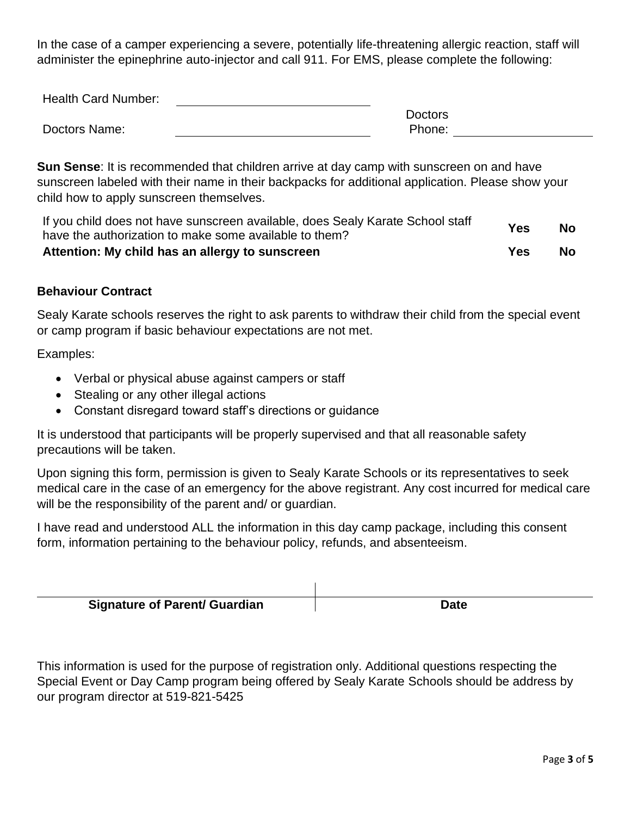In the case of a camper experiencing a severe, potentially life-threatening allergic reaction, staff will administer the epinephrine auto-injector and call 911. For EMS, please complete the following:

| <b>Health Card Number:</b> |                |
|----------------------------|----------------|
|                            | <b>Doctors</b> |
| Doctors Name:              | Phone:         |

**Sun Sense**: It is recommended that children arrive at day camp with sunscreen on and have sunscreen labeled with their name in their backpacks for additional application. Please show your child how to apply sunscreen themselves.

| Attention: My child has an allergy to sunscreen                                                                                          | Yes | No.       |
|------------------------------------------------------------------------------------------------------------------------------------------|-----|-----------|
| If you child does not have sunscreen available, does Sealy Karate School staff<br>have the authorization to make some available to them? | Yes | <b>No</b> |

#### **Behaviour Contract**

Sealy Karate schools reserves the right to ask parents to withdraw their child from the special event or camp program if basic behaviour expectations are not met.

Examples:

- Verbal or physical abuse against campers or staff
- Stealing or any other illegal actions
- Constant disregard toward staff's directions or guidance

It is understood that participants will be properly supervised and that all reasonable safety precautions will be taken.

Upon signing this form, permission is given to Sealy Karate Schools or its representatives to seek medical care in the case of an emergency for the above registrant. Any cost incurred for medical care will be the responsibility of the parent and/ or guardian.

I have read and understood ALL the information in this day camp package, including this consent form, information pertaining to the behaviour policy, refunds, and absenteeism.

| <b>Signature of Parent/ Guardian</b> | Date |
|--------------------------------------|------|

This information is used for the purpose of registration only. Additional questions respecting the Special Event or Day Camp program being offered by Sealy Karate Schools should be address by our program director at 519-821-5425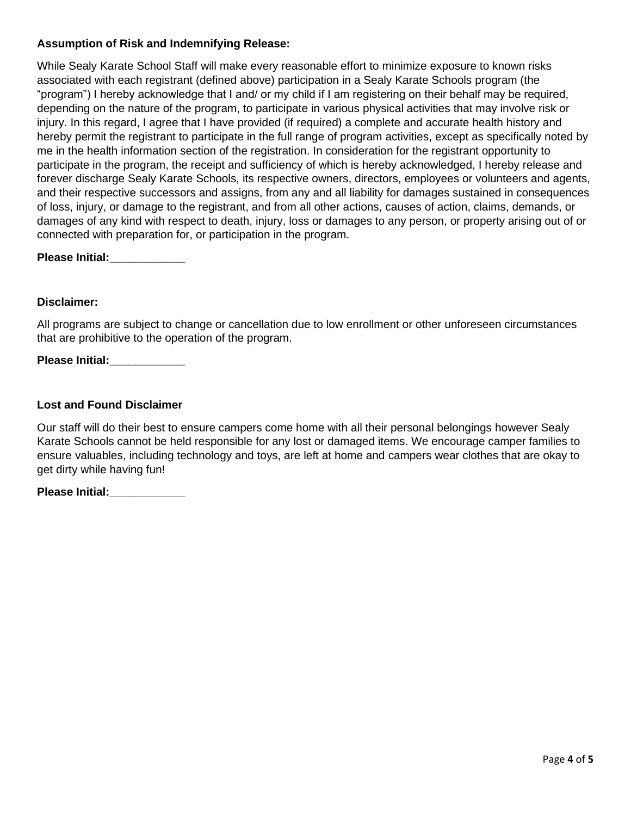#### **Assumption of Risk and Indemnifying Release:**

While Sealy Karate School Staff will make every reasonable effort to minimize exposure to known risks associated with each registrant (defined above) participation in a Sealy Karate Schools program (the "program") I hereby acknowledge that I and/ or my child if I am registering on their behalf may be required, depending on the nature of the program, to participate in various physical activities that may involve risk or injury. In this regard, I agree that I have provided (if required) a complete and accurate health history and hereby permit the registrant to participate in the full range of program activities, except as specifically noted by me in the health information section of the registration. In consideration for the registrant opportunity to participate in the program, the receipt and sufficiency of which is hereby acknowledged, I hereby release and forever discharge Sealy Karate Schools, its respective owners, directors, employees or volunteers and agents, and their respective successors and assigns, from any and all liability for damages sustained in consequences of loss, injury, or damage to the registrant, and from all other actions, causes of action, claims, demands, or damages of any kind with respect to death, injury, loss or damages to any person, or property arising out of or connected with preparation for, or participation in the program.

**Please Initial:\_\_\_\_\_\_\_\_\_\_\_\_**

#### **Disclaimer:**

All programs are subject to change or cancellation due to low enrollment or other unforeseen circumstances that are prohibitive to the operation of the program.

Please Initial: **Noting the September 2014** 

#### **Lost and Found Disclaimer**

Our staff will do their best to ensure campers come home with all their personal belongings however Sealy Karate Schools cannot be held responsible for any lost or damaged items. We encourage camper families to ensure valuables, including technology and toys, are left at home and campers wear clothes that are okay to get dirty while having fun!

**Please Initial:\_\_\_\_\_\_\_\_\_\_\_\_**